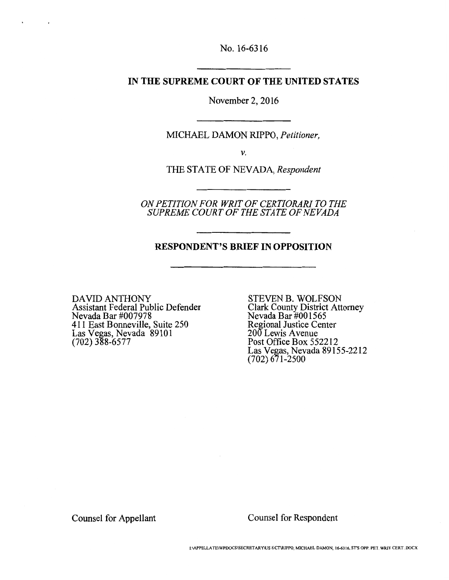No. 16-6316

#### **IN THE SUPREME COURT OF THE UNITED STATES**

November 2, 2016

MICHAEL DAMON RIPPO, *Petitioner,* 

*V.* 

THE STATE OF NEVADA, *Respondent* 

*ON PETITION FOR WRIT OF CERTIORARI TO THE SUPREME COURT OF THE STATE OF NEVADA* 

#### **RESPONDENT'S BRIEF IN OPPOSITION**

DAVID ANTHONY Assistant Federal Public Defender Nevada Bar #007978 411 East Bonneville, Suite 250 Las Vegas, Nevada 89101 (702) 388-6577

 $\overline{\phantom{a}}$ 

STEVEN B. WOLFSON Clark County District Attorney Nevada Bar #001565 Regional Justice Center 200 Lewis Avenue Post Office Box 552212 Las Vegas, Nevada 89155-2212 (702) 671-2500

Counsel for Appellant

Counsel for Respondent

1:IAPPELLATEIWPDOCS\SECRETARY\US S.CT\RIPPO, MICHAEL DAMON, 16-6316, ST'S OPP. PET WRIT CERT..DOCX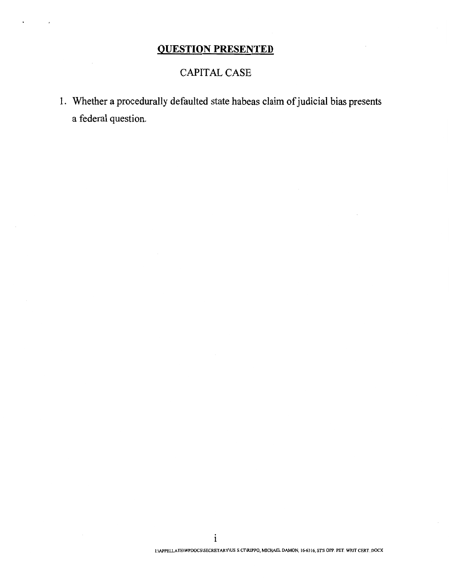# **QUESTION PRESENTED**

### CAPITAL CASE

1. Whether a procedurally defaulted state habeas claim of judicial bias presents a federal question.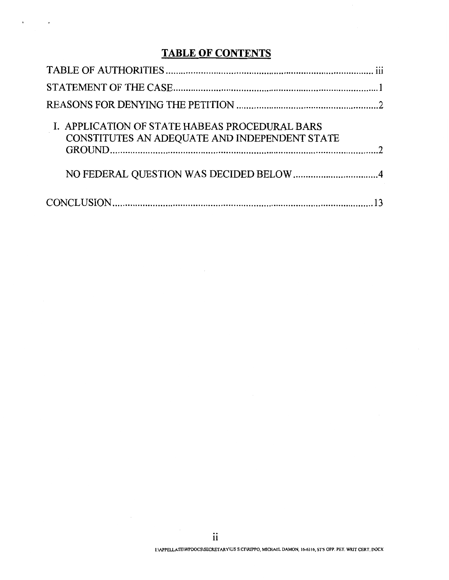# **TABLE OF CONTENTS**

 $\mathbf{r} = \left\langle \mathbf{r} \right\rangle$  ,  $\left\langle \mathbf{r} \right\rangle$ 

| I. APPLICATION OF STATE HABEAS PROCEDURAL BARS<br>CONSTITUTES AN ADEQUATE AND INDEPENDENT STATE |  |
|-------------------------------------------------------------------------------------------------|--|
|                                                                                                 |  |
|                                                                                                 |  |

 $\bar{z}$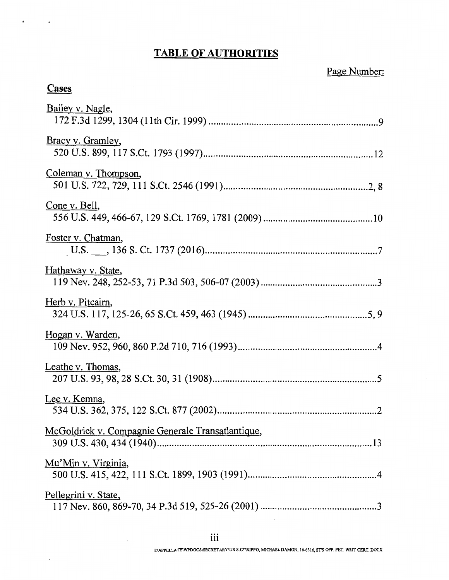# **TABLE OF AUTHORITIES**

# Page Number:

# **Cases**

| Bailey v. Nagle,                                  |
|---------------------------------------------------|
| Bracy v. Gramley,                                 |
| Coleman v. Thompson,                              |
| Cone v. Bell,                                     |
| Foster v. Chatman,                                |
| Hathaway v. State,                                |
| Herb v. Pitcairn,                                 |
| <u>Hogan v. Warden,</u>                           |
| Leathe v. Thomas,                                 |
| Lee v. Kemna,                                     |
| McGoldrick v. Compagnie Generale Transatlantique, |
| <u>Mu'Min v. Virginia</u> ,                       |
| Pellegrini v. State,                              |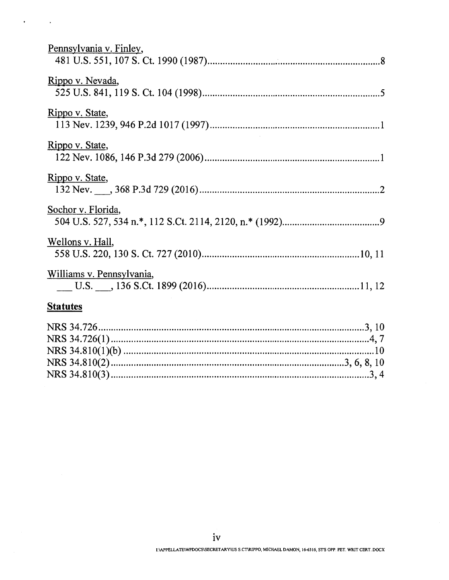$\ddot{\phantom{0}}$ 

 $\sim 10^{11}$  km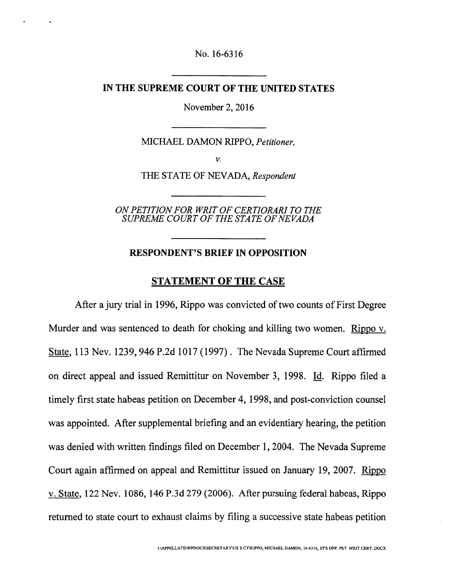No. 16-6316

#### **IN THE SUPREME COURT OF THE UNITED STATES**

November 2, 2016

MICHAEL DAMON RIPPO, *Petitioner,* 

V.

THE STATE OF NEV ADA, *Respondent* 

*ON PETITION FOR WRIT OF CERTIORARI TO THE SUPREME COURT OF THE STATE OF NEVADA* 

#### **RESPONDENT'S BRIEF IN OPPOSITION**

#### **STATEMENT OF THE CASE**

After a jury trial in 1996, Rippo was convicted of two counts of First Degree Murder and was sentenced to death for choking and killing two women. Rippo v. State, 113 Nev. 1239, 946 P.2d 1017 (1997). The Nevada Supreme Court affirmed on direct appeal and issued Remittitur on November 3, 1998. Id. Rippo filed a timely first state habeas petition on December 4, 1998, and post-conviction counsel was appointed. After supplemental briefing and an evidentiary hearing, the petition was denied with written findings filed on December 1, 2004. The Nevada Supreme Court again affirmed on appeal and Remittitur issued on January 19, 2007. Rippo v. State, 122 Nev. 1086, 146 P.3d 279 (2006). After pursuing federal habeas, Rippo returned to state court to exhaust claims by filing a successive state habeas petition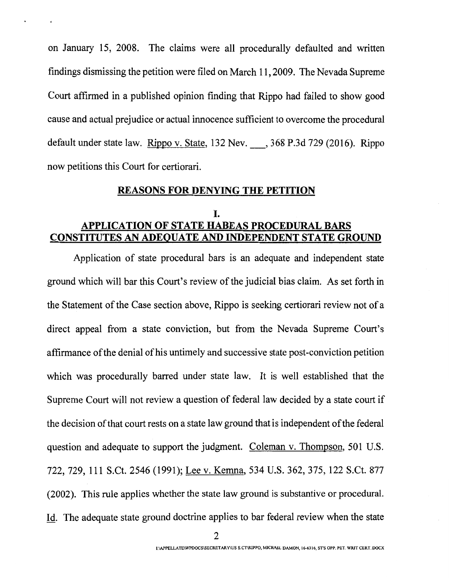on January 15, 2008. The claims were all procedurally defaulted and written findings dismissing the petition were filed on March 11, 2009. The Nevada Supreme Court affirmed in a published opinion finding that Rippo had failed to show good cause and actual prejudice or actual innocence sufficient to overcome the procedural default under state law. Rippo v. State, 132 Nev. , 368 P.3d 729 (2016). Rippo now petitions this Court for certiorari.

### **REASONS FOR DENYING THE PETITION**

### I. **APPLICATION OF STATE HABEAS PROCEDURAL BARS CONSTITUTES AN ADEQUATE AND INDEPENDENT STATE GROUND**

Application of state procedural bars is an adequate and independent state ground which will bar this Court's review of the judicial bias claim. As set forth in the Statement of the Case section above, Rippo is seeking certiorari review not of a direct appeal from a state conviction, but from the Nevada Supreme Court's affirmance of the denial of his untimely and successive state post-conviction petition which was procedurally barred under state law. It is well established that the Supreme Court will not review a question of federal law decided by a state court if the decision of that court rests on a state law ground that is independent of the federal question and adequate to support the judgment. Coleman v. Thompson, 501 U.S. 722, 729, 111 S.Ct. 2546 (1991); Lee v. Kemna, 534 U.S. 362, 375, 122 S.Ct. 877 (2002). This rule applies whether the state law ground is substantive or procedural. Id. The adequate state ground doctrine applies to bar federal review when the state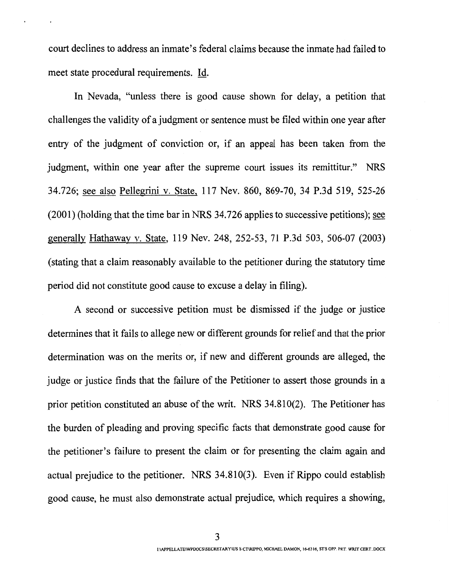court declines to address an inmate's federal claims because the inmate had failed to meet state procedural requirements. Id.

In Nevada, "unless there is good cause shown for delay, a petition that challenges the validity of a judgment or sentence must be filed within one year after entry of the judgment of conviction or, if an appeal has been taken from the judgment, within one year after the supreme court issues its remittitur." NRS 34.726; see also Pellegrini v. State, 117 Nev. 860, 869-70, 34 P.3d 519, 525-26 (2001) (holding that the time bar in NRS 34. 726 applies to successive petitions); see generally Hathaway v. State, 119 Nev. 248, 252-53, 71 P.3d 503, 506-07 (2003) (stating that a claim reasonably available to the petitioner during the statutory time period did not constitute good cause to excuse a delay in filing).

A second or successive petition must be dismissed if the judge or justice determines that it fails to allege new or different grounds for relief and that the prior determination was on the merits or, if new and different grounds are alleged, the judge or justice finds that the failure of the Petitioner to assert those grounds in a prior petition constituted an abuse of the writ. NRS 34.810(2). The Petitioner has the burden of pleading and proving specific facts that demonstrate good cause for the petitioner's failure to present the claim or for presenting the claim again and actual prejudice to the petitioner. NRS 34.810(3). Even if Rippo could establish good cause, he must also demonstrate actual prejudice, which requires a showing,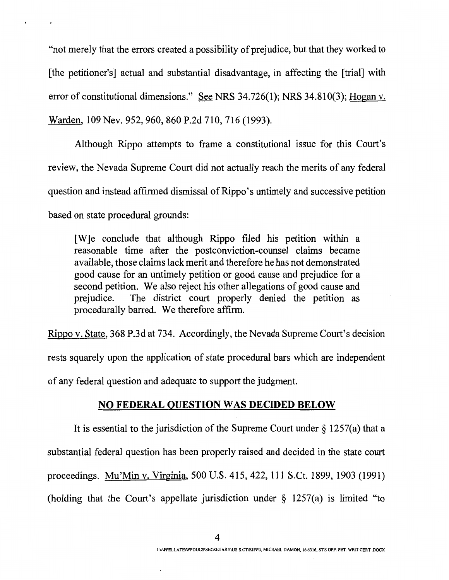"not merely that the errors created a possibility of prejudice, but that they worked to [the petitioner's] actual and substantial disadvantage, in affecting the [trial] with error of constitutional dimensions." See NRS 34.726(1); NRS 34.810(3); Hogan v. Warden, 109 Nev. 952, 960, 860 P.2d 710, 716 (1993).

Although Rippo attempts to frame a constitutional issue for this Court's review, the Nevada Supreme Court did not actually reach the merits of any federal question and instead affirmed dismissal of Rippo's untimely and successive petition based on state procedural grounds:

[W]e conclude that although Rippo filed his petition within a reasonable time after the postconviction-counsel claims became available, those claims lack merit and therefore he has not demonstrated good cause for an untimely petition or good cause and prejudice for a second petition. We also reject his other allegations of good cause and prejudice. The district court properly denied the petition as procedurally barred. We therefore affirm.

Rippo v. State, 368 P.3d at 734. Accordingly, the Nevada Supreme Court's decision rests squarely upon the application of state procedural bars which are independent of any federal question and adequate to support the judgment.

#### **NO FEDERAL QUESTION WAS DECIDED BELOW**

It is essential to the jurisdiction of the Supreme Court under  $\S 1257(a)$  that a substantial federal question has been properly raised and decided in the state court proceedings. Mu'Min v. Virginia, 500 U.S. 415, 422, 111 S.Ct. 1899, 1903 (1991) (holding that the Court's appellate jurisdiction under § 1257(a) is limited "to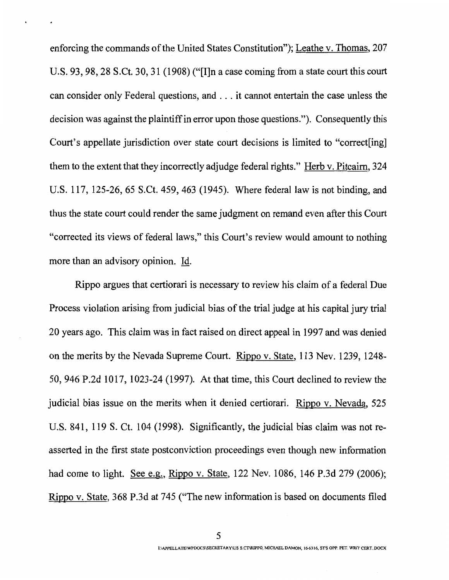enforcing the commands of the United States Constitution"); Leathe v. Thomas, 207 U.S. 93, 98, 28 S.Ct. 30, 31 (1908) ("[I]n a case coming from a state court this court can consider only Federal questions, and ... it cannot entertain the case unless the decision was against the plaintiff in error upon those questions."). Consequently this Court's appellate jurisdiction over state court decisions is limited to "correct[ing] them to the extent that they incorrectly adjudge federal rights." Herb v. Pitcairn, 324 U.S. 117, 125-26, 65 S.Ct. 459, 463 (1945). Where federal law is not binding, and thus the state court could render the same judgment on remand even after this Court "corrected its views of federal laws," this Court's review would amount to nothing more than an advisory opinion. Id.

Rippo argues that certiorari is necessary to review his claim of a federal Due Process violation arising from judicial bias of the trial judge at his capital jury trial 20 years ago. This claim was in fact raised on direct appeal in 1997 and was denied on the merits by the Nevada Supreme Court. Rippo v. State, 113 Nev. 1239, 1248- 50, 946 P.2d 1017, 1023-24 (1997). At that time, this Court declined to review the judicial bias issue on the merits when it denied certiorari. Rippo v. Nevada, 525 U.S. 841, 119 S. Ct. 104 (1998). Significantly, the judicial bias claim was not reasserted in the first state postconviction proceedings even though new information had come to light. See e.g., Rippo v. State, 122 Nev. 1086, 146 P.3d 279 (2006); Rippo v. State, 368 P.3d at 745 ("The new information is based on documents filed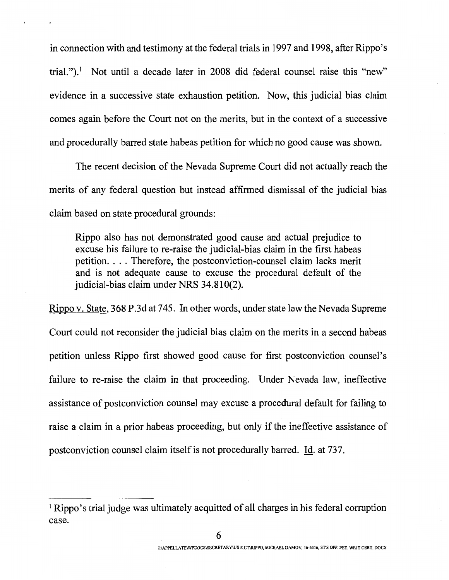in connection with and testimony at the federal trials in 1997 and 1998, after Rippo's trial.").<sup>1</sup> Not until a decade later in 2008 did federal counsel raise this "new" evidence in a successive state exhaustion petition. Now, this judicial bias claim comes again before the Court not on the merits, but in the context of a successive and procedurally barred state habeas petition for which no good cause was shown.

The recent decision of the Nevada Supreme Court did not actually reach the merits of any federal question but instead affirmed dismissal of the judicial bias claim based on state procedural grounds:

Rippo also has not demonstrated good cause and actual prejudice to excuse his failure to re-raise the judicial-bias claim in the first habeas petition. . . . Therefore, the postconviction-counsel claim lacks merit and is not adequate cause to excuse the procedural default of the judicial-bias claim under NRS 34.810(2).

Rippo v. State, 368 P.3d at 745. In other words, under state law the Nevada Supreme Court could not reconsider the judicial bias claim on the merits in a second habeas petition unless Rippo first showed good cause for first postconviction counsel's failure to re-raise the claim in that proceeding. Under Nevada law, ineffective assistance of postconviction counsel may excuse a procedural default for failing to raise a claim in a prior habeas proceeding, but only if the ineffective assistance of postconviction counsel claim itself is not procedurally barred. Id. at 737.

<sup>&</sup>lt;sup>1</sup> Rippo's trial judge was ultimately acquitted of all charges in his federal corruption case.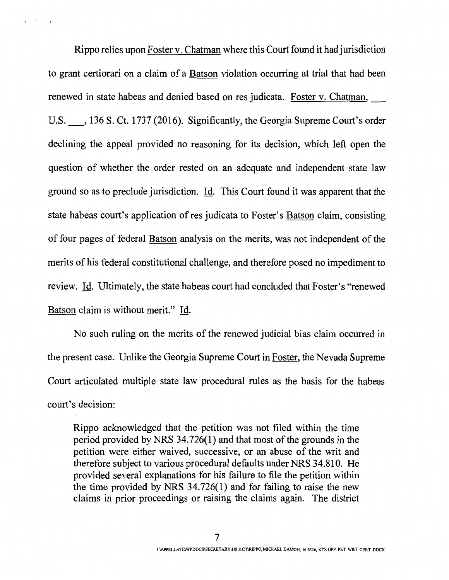Rippo relies upon Foster v. Chatman where this Court found it had jurisdiction to grant certiorari on a claim of a Batson violation occurring at trial that had been renewed in state habeas and denied based on res judicata. Foster v. Chatman, U.S.  $\qquad$ , 136 S. Ct. 1737 (2016). Significantly, the Georgia Supreme Court's order declining the appeal provided no reasoning for its decision, which left open the question of whether the order rested on an adequate and independent state law ground so as to preclude jurisdiction. Id. This Court found it was apparent that the state habeas court's application of res judicata to Foster's Batson claim, consisting of four pages of federal Batson analysis on the merits, was not independent of the merits of his federal constitutional challenge, and therefore posed no impediment to review. Id. Ultimately, the state habeas court had concluded that Foster's "renewed Batson claim is without merit." Id.

No such ruling on the merits of the renewed judicial bias claim occurred in the present case. Unlike the Georgia Supreme Court in Foster, the Nevada Supreme Court articulated multiple state law procedural rules as the basis for the habeas court's decision:

Rippo acknowledged that the petition was not filed within the time period provided by NRS 34.726(1) and that most of the grounds in the petition were either waived, successive, or an abuse of the writ and therefore subject to various procedural defaults under NRS 34.810. He provided several explanations for his failure to file the petition within the time provided by NRS 34.726(1) and for failing to raise the new claims in prior proceedings or raising the claims again. The district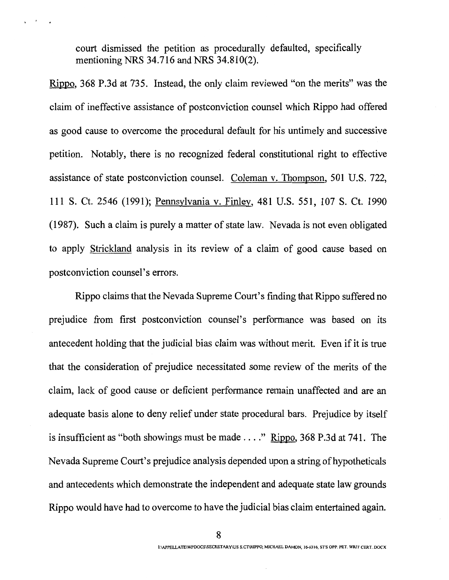court dismissed the petition as procedurally defaulted, specifically mentioning NRS 34.716 and NRS 34.810(2).

 $\overline{\phantom{a}}$ 

Rippo, 368 P.3d at 735. Instead, the only claim reviewed "on the merits" was the claim of ineffective assistance of postconviction counsel which Rippo had offered as good cause to overcome the procedural default for his untimely and successive petition. Notably, there is no recognized federal constitutional right to effective assistance of state postconviction counsel. Coleman v. Thompson, 501 U.S. 722, 111 S. Ct. 2546 (1991); Pennsylvaniav. Finley, 481 U.S. 551,107 S. Ct. 1990 ( 1987). Such a claim is purely a matter of state law. Nevada is not even obligated to apply Strickland analysis in its review of a claim of good cause based on postconviction counsel's errors.

Rippo claims that the Nevada Supreme Court's finding that Rippo suffered no prejudice from first postconviction counsel's performance was based on its antecedent holding that the judicial bias claim was without merit. Even if it is true that the consideration of prejudice necessitated some review of the merits of the claim, lack of good cause or deficient performance remain unaffected and are an adequate basis alone to deny relief under state procedural bars. Prejudice by itself is insufficient as "both showings must be made  $\ldots$ ." Rippo, 368 P.3d at 741. The Nevada Supreme Court's prejudice analysis depended upon a string of hypotheticals and antecedents which demonstrate the independent and adequate state law grounds Rippo would have had to overcome to have the judicial bias claim entertained again.

8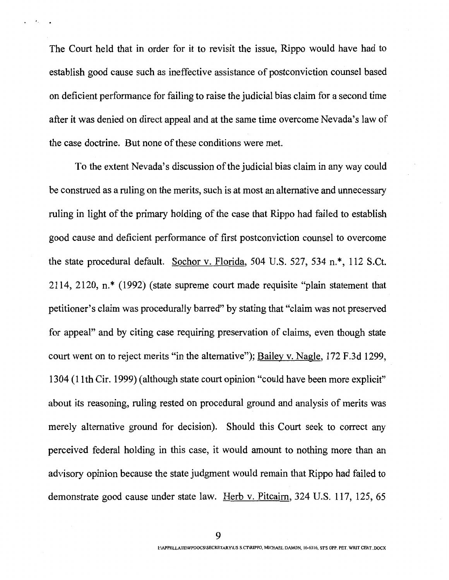The Court held that in order for it to revisit the issue, Rippo would have had to establish good cause such as ineffective assistance of postconviction counsel based on deficient performance for failing to raise the judicial bias claim for a second time after it was denied on direct appeal and at the same time overcome Nevada's law of the case doctrine. But none of these conditions were met.

To the extent Nevada's discussion of the judicial bias claim in any way could be construed as a ruling on the merits, such is at most an alternative and unnecessary ruling in light of the primary holding of the case that Rippo had failed to establish good cause and deficient performance of first postconviction counsel to overcome the state procedural default. Sochor v. Florida, 504 U.S. 527, 534 n.\*, 112 S.Ct. 2114, 2120, n.\* (1992) (state supreme court made requisite "plain statement that petitioner's claim was procedurally barred" by stating that "claim was not preserved for appeal" and by citing case requiring preservation of claims, even though state court went on to reject merits "in the alternative"); Bailey v. Nagle, 172 F.3d 1299, 1304 (11th Cir. 1999) ( although state court opinion "could have been more explicit" about its reasoning, ruling rested on procedural ground and analysis of merits was merely alternative ground for decision). Should this Court seek to correct any perceived federal holding in this case, it would amount to nothing more than an advisory opinion because the state judgment would remain that Rippo had failed to demonstrate good cause under state law. Herb v. Pitcairn, 324 U.S. 117, 125, 65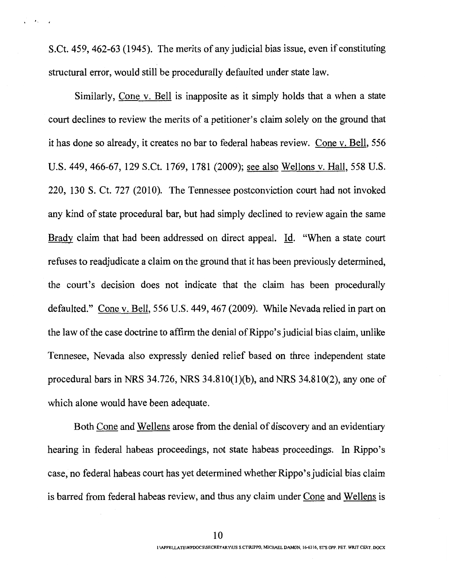S.Ct. 459, 462-63 (1945). The merits of any judicial bias issue, even if constituting structural error, would still be procedurally defaulted under state law.

 $\sim$  0.4  $\mu$ 

Similarly, Cone v. Bell is inapposite as it simply holds that a when a state court declines to review the merits of a petitioner's claim solely on the ground that it has done so already, it creates no bar to federal habeas review. Cone v. Bell, 556 U.S. 449, 466-67, 129 S.Ct. 1769, 1781 (2009); see also Wellons v. Hall, 558 U.S. 220, 130 S. Ct. 727 (2010). The Tennessee postconviction court had not invoked any kind of state procedural bar, but had simply declined to review again the same Brady claim that had been addressed on direct appeal. Id. "When a state court refuses to readjudicate a claim on the ground that it has been previously determined, the court's decision does not indicate that the claim has been procedurally defaulted." Cone v. Bell, 556 U.S. 449,467 (2009). While Nevada relied in part on the law of the case doctrine to affirm the denial of Rippo' s judicial bias claim, unlike Tennesee, Nevada also expressly denied relief based on three independent state procedural bars in NRS 34.726, NRS 34.810(1)(b), and NRS 34.810(2), any one of which alone would have been adequate.

Both Cone and Wellens arose from the denial of discovery and an evidentiary hearing in federal habeas proceedings, not state habeas proceedings. In Rippo's case, no federal habeas court has yet determined whether Rippo' s judicial bias claim is barred from federal habeas review, and thus any claim under Cone and Wellens is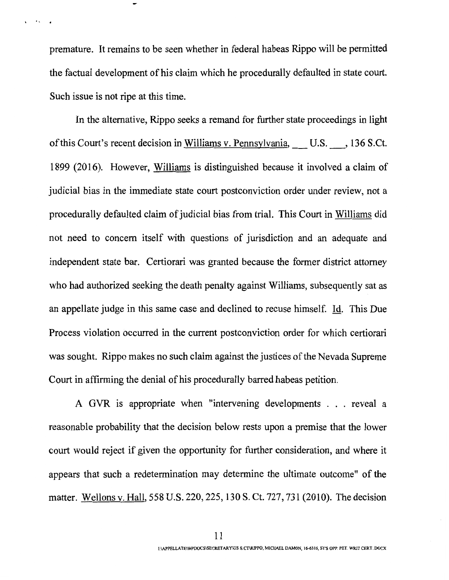premature. It remains to be seen whether in federal habeas Rippo will be permitted the factual development of his claim which he procedurally defaulted in state court. Such issue is not ripe at this time.

 $k$ 

In the alternative, Rippo seeks a remand for further state proceedings in light of this Court's recent decision in Williams v. Pennsylvania, U.S. 136 S.Ct. 1899 (2016). However, Williams is distinguished because it involved a claim of judicial bias in the immediate state court postconviction order under review, not a procedurally defaulted claim of judicial bias from trial. This Court in Williams did not need to concern itself with questions of jurisdiction and an adequate and independent state bar. Certiorari was granted because the former district attorney who had authorized seeking the death penalty against Williams, subsequently sat as an appellate judge in this same case and declined to recuse himself. Id. This Due Process violation occurred in the current postconviction order for which certiorari was sought. Rippo makes no such claim against the justices of the Nevada Supreme Court in affirming the denial of his procedurally barred habeas petition.

A GVR is appropriate when "intervening developments . . . reveal a reasonable probability that the decision below rests upon a premise that the lower court would reject if given the opportunity for further consideration, and where it appears that such a redetermination may determine the ultimate outcome" of the matter. Wellons v. Hall, 558 U.S. 220, 225, 130 S. Ct. 727, 731 (2010). The decision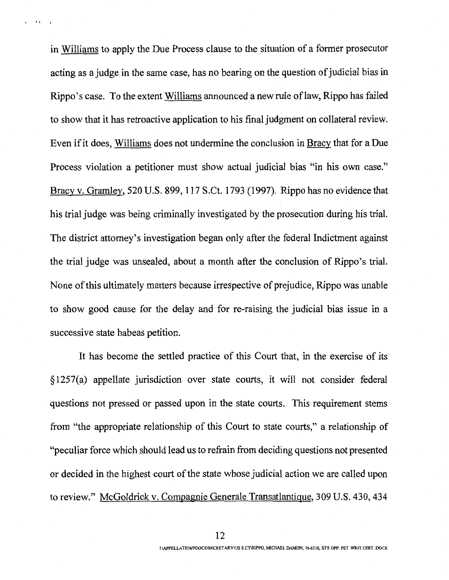in Williams to apply the Due Process clause to the situation of a former prosecutor acting as a judge in the same case, has no bearing on the question of judicial bias in Rippo's case. To the extent Williams announced a new rule oflaw, Rippo has failed to show that it has retroactive application to his final judgment on collateral review. Even if it does, Williams does not undermine the conclusion in Bracy that for a Due Process violation a petitioner must show actual judicial bias "in his own case." Bracy v. Gramley, 520 U.S. 899, 117 S.Ct. 1793 (1997). Rippo has no evidence that his trial judge was being criminally investigated by the prosecution during his trial. The district attorney's investigation began only after the federal Indictment against the trial judge was unsealed, about a month after the conclusion of Rippo's trial. None of this ultimately matters because irrespective of prejudice, Rippo was unable to show good cause for the delay and for re-raising the judicial bias issue in a successive state habeas petition.

 $\cdots$ 

It has become the settled practice of this Court that, in the exercise of its § 1257(a) appellate jurisdiction over state courts, it will not consider federal questions not pressed or passed upon in the state courts. This requirement stems from "the appropriate relationship of this Court to state courts," a relationship of "peculiar force which should lead us to refrain from deciding questions not presented or decided in the highest court of the state whose judicial action we are called upon to review." McGoldrick v. Compagnie Generale Transatlantique, 309 U.S. 430,434